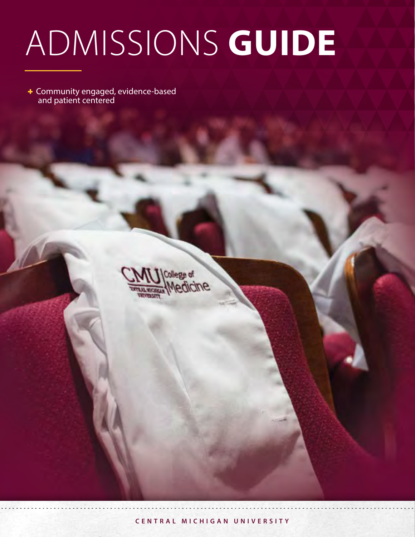# ADMISSIONS **GUIDE**

Community engaged, evidence-based and patient centered

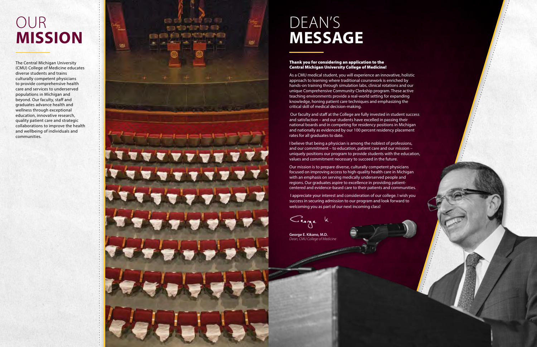# OUR **MISSION**

The Central Michigan University (CMU) College of Medicine educates diverse students and trains culturally competent physicians to provide comprehensive health care and services to underserved populations in Michigan and beyond. Our faculty, staff and graduates advance health and wellness through exceptional education, innovative research, quality patient care and strategic collaborations to improve the health and wellbeing of individuals and communities.



**George E. Kikano, M.D.** *Dean, CMU College of Medicine*

Clege k

#### Thank you for considering an application to the Central Michigan University College of Medicine!

As a CMU medical student, you will experience an innovative, holistic approach to learning where traditional coursework is enriched by hands-on training through simulation labs, clinical rotations and our unique Comprehensive Community Clerkship program. These active teaching environments provide a real-world setting for expanding knowledge, honing patient care techniques and emphasizing the critical skill of medical decision-making.

 Our faculty and staff at the College are fully invested in student success and satisfaction – and our students have excelled in passing their national boards and in competing for residency positions in Michigan and nationally as evidenced by our 100 percent residency placement rates for all graduates to date.

I believe that being a physician is among the noblest of professions, and our commitment – to education, patient care and our mission – uniquely positions our program to provide students with the education, values and commitment necessary to succeed in the future.

Our mission is to prepare diverse, culturally competent physicians focused on improving access to high-quality health care in Michigan with an emphasis on serving medically underserved people and regions. Our graduates aspire to excellence in providing patientcentered and evidence-based care to their patients and communities.

 I appreciate your interest and consideration of our college. I wish you success in securing admission to our program and look forward to welcoming you as part of our next incoming class!

# DEAN'S **MESSAGE**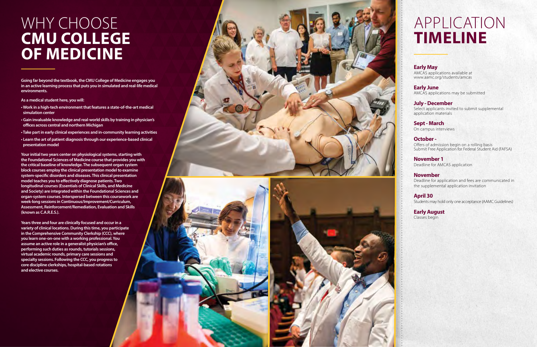### WHY CHOOSE **CMU COLLEGE OF MEDICINE**

**Going far beyond the textbook, the CMU College of Medicine engages you in an active learning process that puts you in simulated and real-life medical environments.** 

- **As a medical student here, you will:**
- **Work in a high-tech environment that features a state-of-the-art medical simulation center**
- **Gain invaluable knowledge and real-world skills by training in physician's offices across central and northern Michigan**
- **Take part in early clinical experiences and in-community learning activities**
- **Learn the art of patient diagnosis through our experience-based clinical presentation model**

9 **specialty sessions. Following the CCC, you progress to Years three and four are clinically focused and occur in a variety of clinical locations. During this time, you participate in the Comprehensive Community Clerkship (CCC), where you learn one-on-one with a working professional. You assume an active role in a generalist physician's office, performing such duties as rounds, tutorials sessions, virtual academic rounds, primary care sessions and core discipline clerkships, hospital-based rotations and elective courses.**





**Your initial two years center on physiological systems, starting with the Foundational Sciences of Medicine course that provides you with the critical baseline of knowledge. The subsequent organ system block courses employ the clinical presentation model to examine system-specific disorders and diseases. This clinical presentation model teaches you to effectively diagnose patients. Two longitudinal courses (Essentials of Clinical Skills, and Medicine and Society) are integrated within the Foundational Sciences and organ-system courses. Interspersed between this coursework are week-long sessions in Continuous/Improvement/Curriculum, Assessment, Reinforcement/Remediation, Evaluation and Skills (known as C.A.R.E.S.).**

# APPLICATION **TIMELINE**

#### **Early May**

AMCAS applications available at www.aamc.org/students/amcas

**Early June** AMCAS applications may be submitted

**July - December** Select applicants invited to submit supplemental application materials

**Sept - March** On campus interviews

**October -** Offers of admission begin on a rolling basis Submit Free Application for Federal Student Aid (FAFSA)

**November 1** Deadline for AMCAS application

#### **November**

Deadline for application and fees are communicated in the supplemental application invitation

#### **April 30** Students may hold only one acceptance (AAMC Guidelines)

**Early August** Classes begin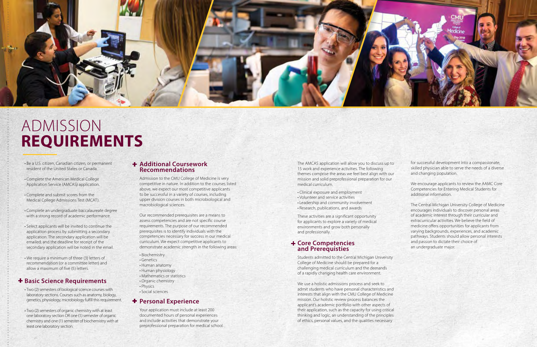

# ADMISSION **REQUIREMENTS**

#### **Additional Coursework Recommendations**

Admission to the CMU College of Medicine is very competitive in nature. In addition to the courses listed above, we expect our most competitive applicants to be successful in a variety of courses, including upper division courses in both microbiological and macrobiological sciences.

Our recommended prerequisites are a means to assess competencies and are not specific course requirements. The purpose of our recommended prerequisites is to identify individuals with the competencies necessary for success in our medical curriculum. We expect competitive applicants to demonstrate academic strength in the following areas:

- Biochemistry
- Genetics
- Human anatomy
- Human physiology
- Mathematics or statistics
- Organic chemistry
- Physics
- Social sciences

### **Personal Experience**

Your application must include at least 200 documented hours of personal experiences and include activities that demonstrate your preprofessional preparation for medical school.

• Be a U.S. citizen, Canadian citizen, or permanent resident of the United States or Canada.

#### **+ Core Competencies and Prerequisties**

- Complete the American Medical College Application Service (AMCAS) application.
- Complete and submit scores from the Medical College Admissions Test (MCAT).
- Complete an undergraduate baccalaureate degree with a strong record of academic performance.
- Select applicants will be invited to continue the application process by submitting a secondary application. The secondary application will be emailed, and the deadline for receipt of the secondary application will be noted in the email.
- We require a minimum of three (3) letters of recommendation (or a committee letter) and allow a maximum of five (5) letters.

### **+ Basic Science Requirements**

- Two (2) semesters of biological science courses with laboratory sections. Courses such as anatomy, biology, genetics, physiology, microbiology fulfill this requirement.
- Two (2) semesters of organic chemistry with at least one laboratory section OR one (1) semester of organic chemistry and one (1) semester of biochemistry with at least one laboratory section.

The AMCAS application will allow you to discuss up to 15 work and experience activities. The following themes comprise the areas we feel best align with our mission and solid preprofessional preparation for our medical curriculum.

- Clinical exposure and employment
- Volunteer and service activities
- Leadership and community involvement
- Research, publications, and awards

These activities are a significant opportunity for applicants to explore a variety of medical environments and grow both personally and professionally.

Students admitted to the Central Michigan University College of Medicine should be prepared for a challenging medical curriculum and the demands of a rapidly changing health care environment.

We use a holistic admissions process and seek to admit students who have personal characteristics and interests that align with the CMU College of Medicine mission. Our holistic review process balances the applicant's academic portfolio with other aspects of their application, such as the capacity for using critical thinking and logic, an understanding of the principles of ethics, personal values, and the qualities necessary

for successful development into a compassionate, skilled physician able to serve the needs of a diverse and changing population.

We encourage applicants to review the AAMC Core Competencies for Entering Medical Students for additional information.

The Central Michigan University College of Medicine encourages individuals to discover personal areas of academic interest through their curricular and extracurricular activities. We believe the field of medicine offers opportunities for applicants from varying backgrounds, experiences, and academic pathways. Students should allow personal interests and passion to dictate their choice of an undergraduate major.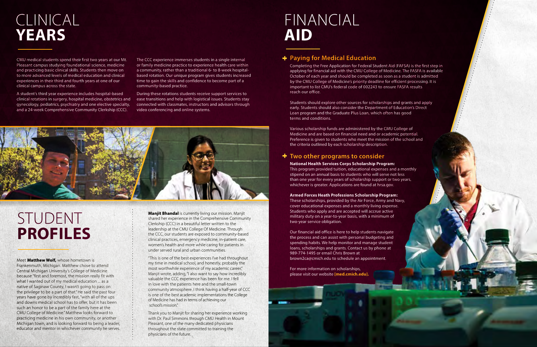Meet **Matthew Wolf,** whose hometown is Frankenmuth, Michigan. Matthew chose to attend Central Michigan University's College of Medicine because "first and foremost, the mission really fit with what I wanted out of my medical education ... as a native of Saginaw County, I wasn't going to pass on the privilege to be a part of that." He said the past four years have gone by incredibly fast, "with all of the ups and downs medical school has to offer, but it has been such an honor to be a part of the family here at the CMU College of Medicine." Matthew looks forward to practicing medicine in his own community, or another Michigan town, and is looking forward to being a leader, educator and mentor in whichever community he serves.

**Manjit Bhandal** is currently living our mission. Manjit shared her experience in the Comprehensive Community Clerkship (CCC) in a beautiful letter written to the leadership at the CMU College Of Medicine. Through the CCC, our students are exposed to community-based clinical practices, emergency medicine, in-patient care, women's health and more while caring for patients in under served rural and urban communities.

"This is one of the best experiences I've had throughout my time in medical school, and honestly, probably the most worthwhile experience of my academic career," Manjit wrote, adding, "I also want to say how incredibly valuable the CCC experience has been for me. I fell in love with the patients here and the small-town community atmosphere. I think having a half-year of CCC is one of the best academic implementations the College of Medicine has had in terms of achieving our school's mission."

Thank you to Manjit for sharing her experience working with Dr. Paul Simmons through CMU Health in Mount Pleasant, one of the many dedicated physicians throughout the state committed to training the physicians of the future.

# STUDENT **PROFILES**

# CLINICAL **YEARS**

CMU medical students spend their first two years at our Mt. Pleasant campus studying foundational science, medicine and practicing basic clinical skills. Students then move on to more advanced levels of medical education and clinical experiences in their third and fourth years at one of our clinical campus across the state.

A student's third year experience includes hospital-based clinical rotations in surgery, hospital medicine, obstetrics and gynecology, pediatrics, psychiatry and one elective specialty, and a 24-week Comprehensive Community Clerkship (CCC).

The CCC experience immerses students in a single internal or family medicine practice to experience health care within a community, rather than a traditional 6- to 8-week hospitalbased rotation. Our unique program gives students increased time to gain the skills and confidence to become part of a community-based practice.

During these rotations students receive support services to ease transitions and help with logistical issues. Students stay connected with classmates, instructors and advisors through video conferencing and online systems.



### **Paying for Medical Education**

Completing the Free Application for Federal Student Aid (FAFSA) is the first step in applying for financial aid with the CMU College of Medicine. The FASFA is available October of each year and should be completed as soon as a student is admitted by the CMU College of Medicine's priority deadline for efficient processing. It is important to list CMU's federal code of 002243 to ensure FASFA results reach our office.

Students should explore other sources for scholarships and grants and apply early. Students should also consider the Department of Education's Direct Loan program and the Graduate Plus Loan, which often has good terms and conditions.

Various scholarship funds are administered by the CMU College of Medicine and are based on financial need and or academic potential. Preference is given to students who meet the mission of the school and the criteria outlined by each scholarship description.

### **+** Two other programs to consider

**National Health Services Corps Scholarship Program:** This program provided tuition, educational expenses and a monthly stipend on an annual basis to students who will serve not less than one year for every years of scholarship support or two years, whichever is greater. Applications are found at hrsa.gov.

#### **Armed Forces Heath Professions Scholarship Program:** These scholarships, provided by the Air Force, Army and Navy, cover educational expenses and a monthly living expense. Students who apply and are accepted will accrue active military duty on a year-to-year basis, with a minimum of two-year service obligation.

Our financial aid office is here to help students navigate the process and can assist with personal budgeting and spending habits. We help monitor and manage student loans, scholarships and grants. Contact us by phone at 989-774-1495 or email Chris Brown at brown2ca@cmich.edu to schedule an appointment.

For more information on scholarships, please visit our website **[med.cmich.edu].**

# FINANCIAL **AID**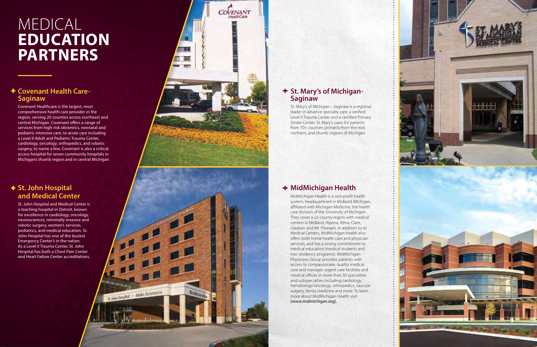### **+ St. John Hospital and Medical Center**

### **+ Covenant Health Care-Saginaw**

St. John Hospital and Medical Center is a teaching hospital in Detroit, known for excellence in cardiology, oncology, neurosciences, minimally invasive and robotic surgery, women's services, pediatrics, and medical education. St. John Hospital has one of the busiest Emergency Center's in the nation. As a Level II Trauma Center, St. John Hospital has both a Chest Pain Center and Heart Failure Center accreditations.



st kim NopPol - Mala Entrance

Covenant Healthcare is the largest, most comprehensive health care provider in the region, serving 20 counties across northeast and central Michigan. Covenant offers a range of services from high-risk obstetrics, neonatal and pediatric intensive care, to acute care including a Level II Adult and Pediatric Trauma Center, cardiology, oncology, orthopedics, and robotic surgery, to name a few. Covenant is also a critical access hospital for seven community hospitals in Michigan's thumb region and in central Michigan

### **+ St. Mary's of Michigan-Saginaw**

# MEDICAL **EDUCATION PARTNERS**

### **MidMichigan Health**

MidMichigan Health is a non-profit health system, headquartered in Midland, Michigan, affiliated with Michigan Medicine, the health care division of the University of Michigan. They cover a 22-county region with medical centers in Midland, Alpena, Alma, Clare, Gladwin and Mt. Pleasant. In addition to its Medical Centers, MidMichigan Health also offers both home health care and physician services, and has a strong commitment to medical education (medical students and two residency programs). MidMichigan Physicians Group provides patients with access to compassionate, quality medical care and manages urgent care facilities and medical offices in more than 30 specialties and subspecialties including cardiology, hematology/oncology, orthopedics, vascular surgery, family medicine and more. To learn more about MidMichigan Health visit [www.midmichigan.org].



St. Mary's of Michigan – Saginaw is a regional leader in advance specialty care, a verified Level II Trauma Center and a certified Primary Stroke Center. St. Mary's cares for patients from 70+ counties primarily from the mid, northern, and thumb regions of Michigan.